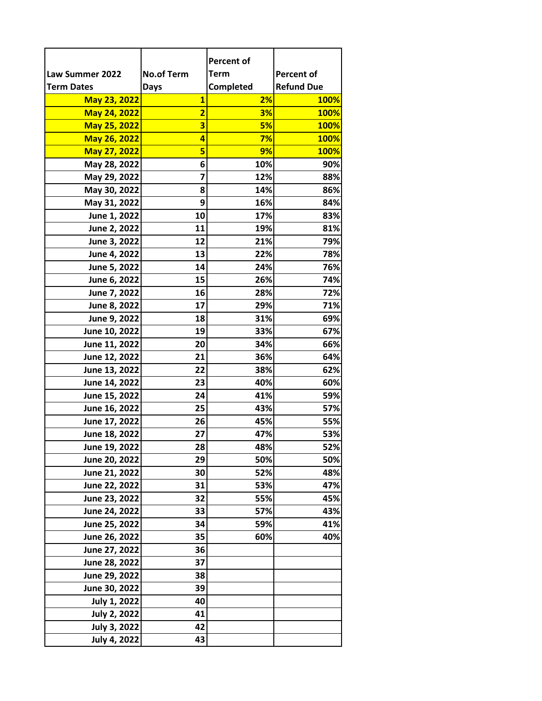|                     |                         | <b>Percent of</b> |                   |
|---------------------|-------------------------|-------------------|-------------------|
| Law Summer 2022     | <b>No.of Term</b>       | <b>Term</b>       | <b>Percent of</b> |
| <b>Term Dates</b>   | <b>Days</b>             | Completed         | <b>Refund Due</b> |
| May 23, 2022        | $\overline{\mathbf{1}}$ | 2%                | <b>100%</b>       |
| May 24, 2022        | $\overline{\mathbf{2}}$ | 3%                | 100%              |
| May 25, 2022        | 3                       | 5%                | <b>100%</b>       |
| May 26, 2022        | 4                       | 7%                | <b>100%</b>       |
| May 27, 2022        | 5                       | 9%                | <b>100%</b>       |
| May 28, 2022        | 6                       | 10%               | 90%               |
| May 29, 2022        | 7                       | 12%               | 88%               |
| May 30, 2022        | 8                       | 14%               | 86%               |
| May 31, 2022        | 9                       | 16%               | 84%               |
| June 1, 2022        | 10                      | 17%               | 83%               |
| June 2, 2022        | 11                      | 19%               | 81%               |
| June 3, 2022        | 12                      | 21%               | 79%               |
| June 4, 2022        | 13                      | 22%               | 78%               |
| June 5, 2022        | 14                      | 24%               | 76%               |
| June 6, 2022        | 15                      | 26%               | 74%               |
| June 7, 2022        | 16                      | 28%               | 72%               |
| June 8, 2022        | 17                      | 29%               | 71%               |
| June 9, 2022        | 18                      | 31%               | 69%               |
| June 10, 2022       | 19                      | 33%               | 67%               |
| June 11, 2022       | 20                      | 34%               | 66%               |
| June 12, 2022       | 21                      | 36%               | 64%               |
| June 13, 2022       | 22                      | 38%               | 62%               |
| June 14, 2022       | 23                      | 40%               | 60%               |
| June 15, 2022       | 24                      | 41%               | 59%               |
| June 16, 2022       | 25                      | 43%               | 57%               |
| June 17, 2022       | 26                      | 45%               | 55%               |
| June 18, 2022       | 27                      | 47%               | 53%               |
| June 19, 2022       | 28                      | 48%               | 52%               |
| June 20, 2022       | 29                      | 50%               | 50%               |
| June 21, 2022       | 30                      | 52%               | 48%               |
| June 22, 2022       | 31                      | 53%               | 47%               |
| June 23, 2022       | 32                      | 55%               | 45%               |
| June 24, 2022       | 33                      | 57%               | 43%               |
| June 25, 2022       | 34                      | 59%               | 41%               |
| June 26, 2022       | 35                      | 60%               | 40%               |
| June 27, 2022       | 36                      |                   |                   |
| June 28, 2022       | 37                      |                   |                   |
| June 29, 2022       | 38                      |                   |                   |
| June 30, 2022       | 39                      |                   |                   |
| <b>July 1, 2022</b> | 40                      |                   |                   |
| <b>July 2, 2022</b> | 41                      |                   |                   |
| <b>July 3, 2022</b> | 42                      |                   |                   |
| <b>July 4, 2022</b> | 43                      |                   |                   |